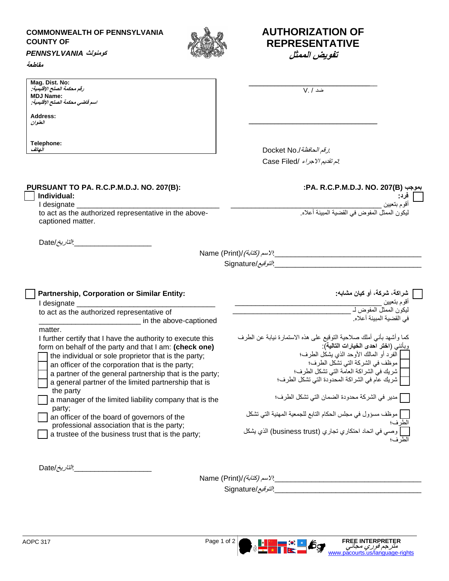## **COMMONWEALTH OF PENNSYLVANIA COUNTY OF**



## **كومنولث** *PENNSYLVANIA*

**مقاطعة** 

**Mag. Dist. No: رقم محكمة الصلح اإلقليمية: MDJ Name: اسم قاضي محكمة الصلح اإلقليمية:** 

**Address: العنوان** 

**Telephone: الهاتف** 

## **AUTHORIZATION OF REPRESENTATIVE**

**تفويض الممثل** 

\_\_\_\_\_\_\_\_\_\_\_\_\_\_\_\_\_\_\_\_\_\_\_\_\_\_\_\_\_\_\_\_\_\_\_ ضد / .V

\_\_\_\_\_\_\_\_\_\_\_\_\_\_\_\_\_\_\_\_\_\_\_\_\_\_\_\_\_\_\_\_\_\_\_

:رقم الحافظة./No Docket  $Cose$   $Tilod$   $U_1$   $M_2$ 

| PURSUANT TO PA. R.C.P.M.D.J. NO. 207(B):<br>Individual:                                                        | بموجب PA. R.C.P.M.D.J. NO. 207(B):                                                                          |
|----------------------------------------------------------------------------------------------------------------|-------------------------------------------------------------------------------------------------------------|
| I designate                                                                                                    | أقو م بتعيين                                                                                                |
| to act as the authorized representative in the above-<br>captioned matter.                                     | ليكون الممثل المفوض في القضية المبينة أعلاه.                                                                |
| _التاريخ/Date                                                                                                  |                                                                                                             |
|                                                                                                                | Name (Print)/ $\sqrt{\alpha}$ /2 سم (كتابة)                                                                 |
|                                                                                                                | التوقيع/Signature                                                                                           |
|                                                                                                                |                                                                                                             |
|                                                                                                                |                                                                                                             |
| Partnership, Corporation or Similar Entity:                                                                    | شراكة، شركة، أو كيان مشابه:                                                                                 |
|                                                                                                                | أقوم بتعيين<br>ليكون الممثل المفوض لــ                                                                      |
| to act as the authorized representative of                                                                     | في القضية المبينة أعلاه.                                                                                    |
| in the above-captioned                                                                                         |                                                                                                             |
| matter.                                                                                                        |                                                                                                             |
| I further certify that I have the authority to execute this                                                    | كما وأشهد بأني أملك صلاحية التوقيع على هذه الاستمارة نيابة عن الطرف<br>وبأنني (اختر آحدي الخيارات التالية): |
| form on behalf of the party and that I am: (check one)<br>the individual or sole proprietor that is the party; | الفرد أو المالك الأوحد الذي يشكل الطرف؛                                                                     |
| an officer of the corporation that is the party;                                                               | موظف في الشركة التي تشكل الطرف؛                                                                             |
| a partner of the general partnership that is the party;                                                        | شريك في الشراكة العامة التي تشكل الطرف؛                                                                     |
| a general partner of the limited partnership that is                                                           | شريك عام في الشراكة المحدودة التي تشكل الطرف؛                                                               |
| the party                                                                                                      |                                                                                                             |
|                                                                                                                | ] مدير في الشركة محدودة الضمان التي تشكل الطرف؛                                                             |
|                                                                                                                |                                                                                                             |
| a manager of the limited liability company that is the<br>party;                                               |                                                                                                             |
| an officer of the board of governors of the                                                                    | موظف مسؤول في مجلس الحكام التابع للجمعية المهنية التي تشكل                                                  |
| professional association that is the party;                                                                    | ا <u>لطر</u> ف؛                                                                                             |

\_\_\_\_\_\_\_\_\_\_\_\_\_\_\_\_\_\_\_\_\_\_\_\_\_\_\_\_\_\_\_\_\_\_\_\_:االسم )كتابة(/(Print (Name

\_\_\_\_\_\_\_\_\_\_\_\_\_\_\_\_\_\_\_\_\_\_\_\_\_\_\_\_\_\_\_\_\_\_\_\_:التوقيع/Signature



 $\Delta$ التاريخ $\mu_{\perp}$